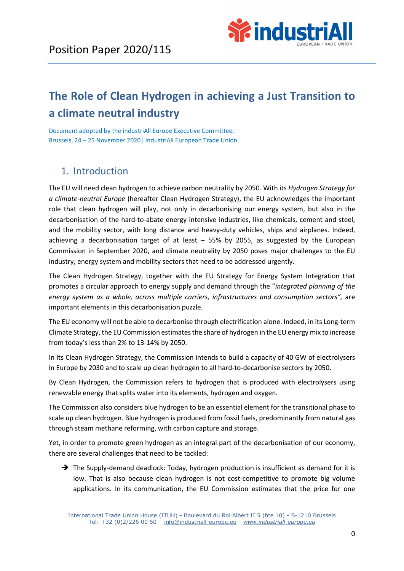

# The Role of Clean Hydrogen in achieving a Just Transition to a climate neutral industry

Document adopted by the industriAll Europe Executive Committee, Brussels, 24 – 25 November 2020| IndustriAll European Trade Union

# 1. Introduction

The EU will need clean hydrogen to achieve carbon neutrality by 2050. With its Hydrogen Strategy for a climate-neutral Europe (hereafter Clean Hydrogen Strategy), the EU acknowledges the important role that clean hydrogen will play, not only in decarbonising our energy system, but also in the decarbonisation of the hard-to-abate energy intensive industries, like chemicals, cement and steel, and the mobility sector, with long distance and heavy-duty vehicles, ships and airplanes. Indeed, achieving a decarbonisation target of at least – 55% by 2055, as suggested by the European Commission in September 2020, and climate neutrality by 2050 poses major challenges to the EU industry, energy system and mobility sectors that need to be addressed urgently.

The Clean Hydrogen Strategy, together with the EU Strategy for Energy System Integration that promotes a circular approach to energy supply and demand through the "integrated planning of the energy system as a whole, across multiple carriers, infrastructures and consumption sectors", are important elements in this decarbonisation puzzle.

The EU economy will not be able to decarbonise through electrification alone. Indeed, in its Long-term Climate Strategy, the EU Commission estimates the share of hydrogen in the EU energy mix to increase from today's less than 2% to 13-14% by 2050.

In its Clean Hydrogen Strategy, the Commission intends to build a capacity of 40 GW of electrolysers in Europe by 2030 and to scale up clean hydrogen to all hard-to-decarbonise sectors by 2050.

By Clean Hydrogen, the Commission refers to hydrogen that is produced with electrolysers using renewable energy that splits water into its elements, hydrogen and oxygen.

The Commission also considers blue hydrogen to be an essential element for the transitional phase to scale up clean hydrogen. Blue hydrogen is produced from fossil fuels, predominantly from natural gas through steam methane reforming, with carbon capture and storage.

Yet, in order to promote green hydrogen as an integral part of the decarbonisation of our economy, there are several challenges that need to be tackled:

 $\rightarrow$  The Supply-demand deadlock: Today, hydrogen production is insufficient as demand for it is low. That is also because clean hydrogen is not cost-competitive to promote big volume applications. In its communication, the EU Commission estimates that the price for one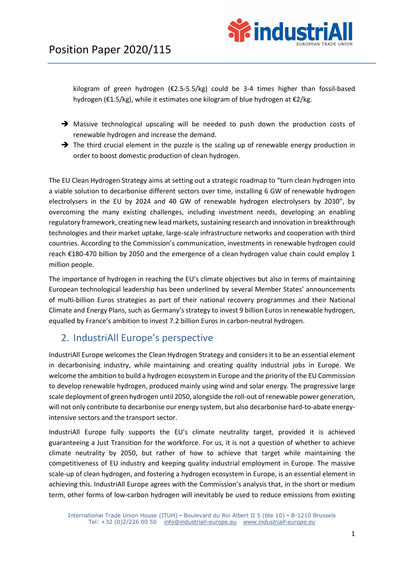

kilogram of green hydrogen ( $\epsilon$ 2.5-5.5/kg) could be 3-4 times higher than fossil-based hydrogen (€1.5/kg), while it estimates one kilogram of blue hydrogen at €2/kg.

- Massive technological upscaling will be needed to push down the production costs of renewable hydrogen and increase the demand.
- $\rightarrow$  The third crucial element in the puzzle is the scaling up of renewable energy production in order to boost domestic production of clean hydrogen.

The EU Clean Hydrogen Strategy aims at setting out a strategic roadmap to "turn clean hydrogen into a viable solution to decarbonise different sectors over time, installing 6 GW of renewable hydrogen electrolysers in the EU by 2024 and 40 GW of renewable hydrogen electrolysers by 2030", by overcoming the many existing challenges, including investment needs, developing an enabling regulatory framework, creating new lead markets, sustaining research and innovation in breakthrough technologies and their market uptake, large-scale infrastructure networks and cooperation with third countries. According to the Commission's communication, investments in renewable hydrogen could reach €180-470 billion by 2050 and the emergence of a clean hydrogen value chain could employ 1 million people.

The importance of hydrogen in reaching the EU's climate objectives but also in terms of maintaining European technological leadership has been underlined by several Member States' announcements of multi-billion Euros strategies as part of their national recovery programmes and their National Climate and Energy Plans, such as Germany's strategy to invest 9 billion Euros in renewable hydrogen, equalled by France's ambition to invest 7.2 billion Euros in carbon-neutral hydrogen.

## 2. IndustriAll Europe's perspective

IndustriAll Europe welcomes the Clean Hydrogen Strategy and considers it to be an essential element in decarbonising industry, while maintaining and creating quality industrial jobs in Europe. We welcome the ambition to build a hydrogen ecosystem in Europe and the priority of the EU Commission to develop renewable hydrogen, produced mainly using wind and solar energy. The progressive large scale deployment of green hydrogen until 2050, alongside the roll-out of renewable power generation, will not only contribute to decarbonise our energy system, but also decarbonise hard-to-abate energyintensive sectors and the transport sector.

IndustriAll Europe fully supports the EU's climate neutrality target, provided it is achieved guaranteeing a Just Transition for the workforce. For us, it is not a question of whether to achieve climate neutrality by 2050, but rather of how to achieve that target while maintaining the competitiveness of EU industry and keeping quality industrial employment in Europe. The massive scale-up of clean hydrogen, and fostering a hydrogen ecosystem in Europe, is an essential element in achieving this. IndustriAll Europe agrees with the Commission's analysis that, in the short or medium term, other forms of low-carbon hydrogen will inevitably be used to reduce emissions from existing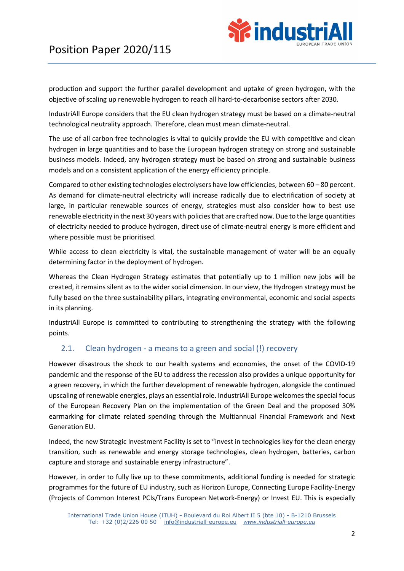

production and support the further parallel development and uptake of green hydrogen, with the objective of scaling up renewable hydrogen to reach all hard-to-decarbonise sectors after 2030.

IndustriAll Europe considers that the EU clean hydrogen strategy must be based on a climate-neutral technological neutrality approach. Therefore, clean must mean climate-neutral.

The use of all carbon free technologies is vital to quickly provide the EU with competitive and clean hydrogen in large quantities and to base the European hydrogen strategy on strong and sustainable business models. Indeed, any hydrogen strategy must be based on strong and sustainable business models and on a consistent application of the energy efficiency principle.

Compared to other existing technologies electrolysers have low efficiencies, between 60 – 80 percent. As demand for climate-neutral electricity will increase radically due to electrification of society at large, in particular renewable sources of energy, strategies must also consider how to best use renewable electricity in the next 30 years with policies that are crafted now. Due to the large quantities of electricity needed to produce hydrogen, direct use of climate-neutral energy is more efficient and where possible must be prioritised.

While access to clean electricity is vital, the sustainable management of water will be an equally determining factor in the deployment of hydrogen.

Whereas the Clean Hydrogen Strategy estimates that potentially up to 1 million new jobs will be created, it remains silent as to the wider social dimension. In our view, the Hydrogen strategy must be fully based on the three sustainability pillars, integrating environmental, economic and social aspects in its planning.

IndustriAll Europe is committed to contributing to strengthening the strategy with the following points.

#### 2.1. Clean hydrogen - a means to a green and social (!) recovery

However disastrous the shock to our health systems and economies, the onset of the COVID-19 pandemic and the response of the EU to address the recession also provides a unique opportunity for a green recovery, in which the further development of renewable hydrogen, alongside the continued upscaling of renewable energies, plays an essential role. IndustriAll Europe welcomes the special focus of the European Recovery Plan on the implementation of the Green Deal and the proposed 30% earmarking for climate related spending through the Multiannual Financial Framework and Next Generation EU.

Indeed, the new Strategic Investment Facility is set to "invest in technologies key for the clean energy transition, such as renewable and energy storage technologies, clean hydrogen, batteries, carbon capture and storage and sustainable energy infrastructure".

However, in order to fully live up to these commitments, additional funding is needed for strategic programmes for the future of EU industry, such as Horizon Europe, Connecting Europe Facility-Energy (Projects of Common Interest PCIs/Trans European Network-Energy) or Invest EU. This is especially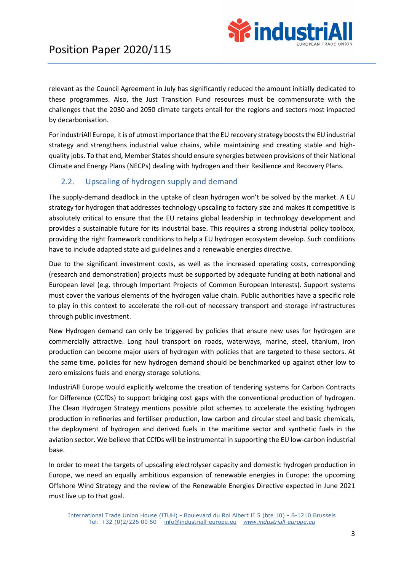

relevant as the Council Agreement in July has significantly reduced the amount initially dedicated to these programmes. Also, the Just Transition Fund resources must be commensurate with the challenges that the 2030 and 2050 climate targets entail for the regions and sectors most impacted by decarbonisation.

For industriAll Europe, it is of utmost importance that the EU recovery strategy boosts the EU industrial strategy and strengthens industrial value chains, while maintaining and creating stable and highquality jobs. To that end, Member States should ensure synergies between provisions of their National Climate and Energy Plans (NECPs) dealing with hydrogen and their Resilience and Recovery Plans.

### 2.2. Upscaling of hydrogen supply and demand

The supply-demand deadlock in the uptake of clean hydrogen won't be solved by the market. A EU strategy for hydrogen that addresses technology upscaling to factory size and makes it competitive is absolutely critical to ensure that the EU retains global leadership in technology development and provides a sustainable future for its industrial base. This requires a strong industrial policy toolbox, providing the right framework conditions to help a EU hydrogen ecosystem develop. Such conditions have to include adapted state aid guidelines and a renewable energies directive.

Due to the significant investment costs, as well as the increased operating costs, corresponding (research and demonstration) projects must be supported by adequate funding at both national and European level (e.g. through Important Projects of Common European Interests). Support systems must cover the various elements of the hydrogen value chain. Public authorities have a specific role to play in this context to accelerate the roll-out of necessary transport and storage infrastructures through public investment.

New Hydrogen demand can only be triggered by policies that ensure new uses for hydrogen are commercially attractive. Long haul transport on roads, waterways, marine, steel, titanium, iron production can become major users of hydrogen with policies that are targeted to these sectors. At the same time, policies for new hydrogen demand should be benchmarked up against other low to zero emissions fuels and energy storage solutions.

IndustriAll Europe would explicitly welcome the creation of tendering systems for Carbon Contracts for Difference (CCfDs) to support bridging cost gaps with the conventional production of hydrogen. The Clean Hydrogen Strategy mentions possible pilot schemes to accelerate the existing hydrogen production in refineries and fertiliser production, low carbon and circular steel and basic chemicals, the deployment of hydrogen and derived fuels in the maritime sector and synthetic fuels in the aviation sector. We believe that CCfDs will be instrumental in supporting the EU low-carbon industrial base.

In order to meet the targets of upscaling electrolyser capacity and domestic hydrogen production in Europe, we need an equally ambitious expansion of renewable energies in Europe: the upcoming Offshore Wind Strategy and the review of the Renewable Energies Directive expected in June 2021 must live up to that goal.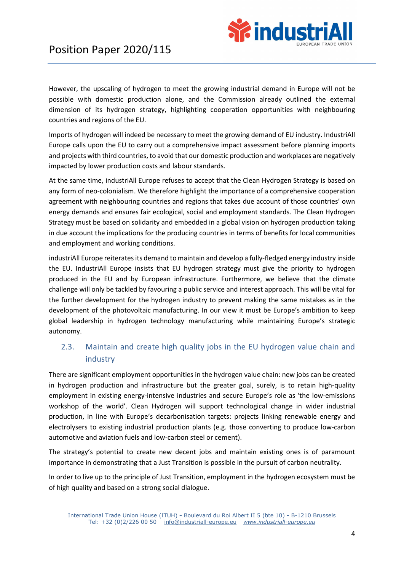

However, the upscaling of hydrogen to meet the growing industrial demand in Europe will not be possible with domestic production alone, and the Commission already outlined the external dimension of its hydrogen strategy, highlighting cooperation opportunities with neighbouring countries and regions of the EU.

Imports of hydrogen will indeed be necessary to meet the growing demand of EU industry. IndustriAll Europe calls upon the EU to carry out a comprehensive impact assessment before planning imports and projects with third countries, to avoid that our domestic production and workplaces are negatively impacted by lower production costs and labour standards.

At the same time, industriAll Europe refuses to accept that the Clean Hydrogen Strategy is based on any form of neo-colonialism. We therefore highlight the importance of a comprehensive cooperation agreement with neighbouring countries and regions that takes due account of those countries' own energy demands and ensures fair ecological, social and employment standards. The Clean Hydrogen Strategy must be based on solidarity and embedded in a global vision on hydrogen production taking in due account the implications for the producing countries in terms of benefits for local communities and employment and working conditions.

industriAll Europe reiterates its demand to maintain and develop a fully-fledged energy industry inside the EU. IndustriAll Europe insists that EU hydrogen strategy must give the priority to hydrogen produced in the EU and by European infrastructure. Furthermore, we believe that the climate challenge will only be tackled by favouring a public service and interest approach. This will be vital for the further development for the hydrogen industry to prevent making the same mistakes as in the development of the photovoltaic manufacturing. In our view it must be Europe's ambition to keep global leadership in hydrogen technology manufacturing while maintaining Europe's strategic autonomy.

## 2.3. Maintain and create high quality jobs in the EU hydrogen value chain and industry

There are significant employment opportunities in the hydrogen value chain: new jobs can be created in hydrogen production and infrastructure but the greater goal, surely, is to retain high-quality employment in existing energy-intensive industries and secure Europe's role as 'the low-emissions workshop of the world'. Clean Hydrogen will support technological change in wider industrial production, in line with Europe's decarbonisation targets: projects linking renewable energy and electrolysers to existing industrial production plants (e.g. those converting to produce low-carbon automotive and aviation fuels and low-carbon steel or cement).

The strategy's potential to create new decent jobs and maintain existing ones is of paramount importance in demonstrating that a Just Transition is possible in the pursuit of carbon neutrality.

In order to live up to the principle of Just Transition, employment in the hydrogen ecosystem must be of high quality and based on a strong social dialogue.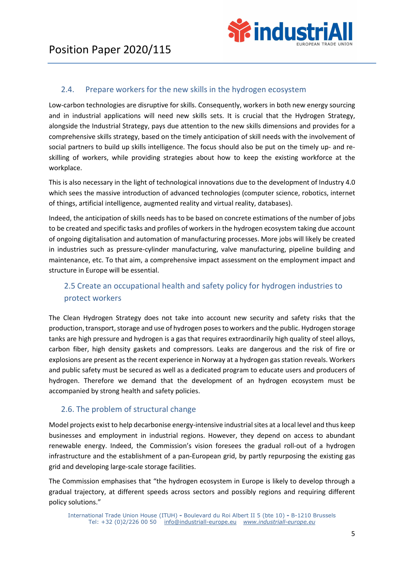

#### 2.4. Prepare workers for the new skills in the hydrogen ecosystem

Low-carbon technologies are disruptive for skills. Consequently, workers in both new energy sourcing and in industrial applications will need new skills sets. It is crucial that the Hydrogen Strategy, alongside the Industrial Strategy, pays due attention to the new skills dimensions and provides for a comprehensive skills strategy, based on the timely anticipation of skill needs with the involvement of social partners to build up skills intelligence. The focus should also be put on the timely up- and reskilling of workers, while providing strategies about how to keep the existing workforce at the workplace.

This is also necessary in the light of technological innovations due to the development of Industry 4.0 which sees the massive introduction of advanced technologies (computer science, robotics, internet of things, artificial intelligence, augmented reality and virtual reality, databases).

Indeed, the anticipation of skills needs has to be based on concrete estimations of the number of jobs to be created and specific tasks and profiles of workers in the hydrogen ecosystem taking due account of ongoing digitalisation and automation of manufacturing processes. More jobs will likely be created in industries such as pressure-cylinder manufacturing, valve manufacturing, pipeline building and maintenance, etc. To that aim, a comprehensive impact assessment on the employment impact and structure in Europe will be essential.

## 2.5 Create an occupational health and safety policy for hydrogen industries to protect workers

The Clean Hydrogen Strategy does not take into account new security and safety risks that the production, transport, storage and use of hydrogen poses to workers and the public. Hydrogen storage tanks are high pressure and hydrogen is a gas that requires extraordinarily high quality of steel alloys, carbon fiber, high density gaskets and compressors. Leaks are dangerous and the risk of fire or explosions are present as the recent experience in Norway at a hydrogen gas station reveals. Workers and public safety must be secured as well as a dedicated program to educate users and producers of hydrogen. Therefore we demand that the development of an hydrogen ecosystem must be accompanied by strong health and safety policies.

#### 2.6. The problem of structural change

Model projects exist to help decarbonise energy-intensive industrial sites at a local level and thus keep businesses and employment in industrial regions. However, they depend on access to abundant renewable energy. Indeed, the Commission's vision foresees the gradual roll-out of a hydrogen infrastructure and the establishment of a pan-European grid, by partly repurposing the existing gas grid and developing large-scale storage facilities.

The Commission emphasises that "the hydrogen ecosystem in Europe is likely to develop through a gradual trajectory, at different speeds across sectors and possibly regions and requiring different policy solutions."